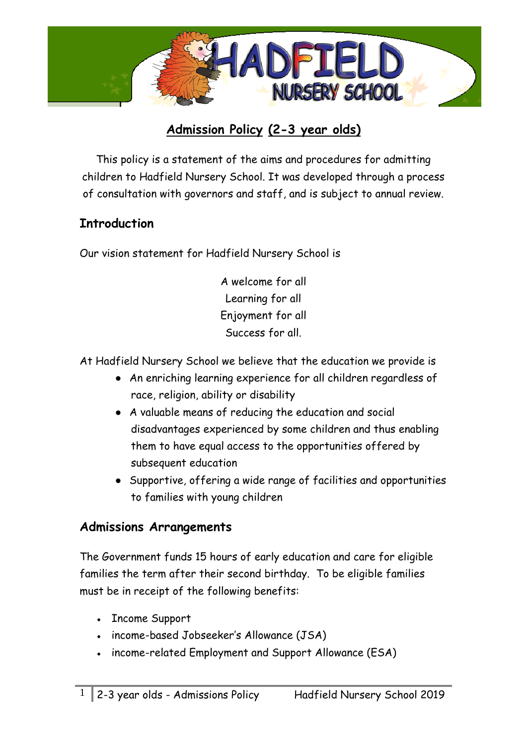

## **Admission Policy (2-3 year olds)**

This policy is a statement of the aims and procedures for admitting children to Hadfield Nursery School. It was developed through a process of consultation with governors and staff, and is subject to annual review.

#### **Introduction**

Our vision statement for Hadfield Nursery School is

A welcome for all Learning for all Enjoyment for all Success for all.

At Hadfield Nursery School we believe that the education we provide is

- An enriching learning experience for all children regardless of race, religion, ability or disability
- A valuable means of reducing the education and social disadvantages experienced by some children and thus enabling them to have equal access to the opportunities offered by subsequent education
- Supportive, offering a wide range of facilities and opportunities to families with young children

#### **Admissions Arrangements**

The Government funds 15 hours of early education and care for eligible families the term after their second birthday. To be eligible families must be in receipt of the following benefits:

- Income Support
- income-based Jobseeker's Allowance (JSA)
- income-related Employment and Support Allowance (ESA)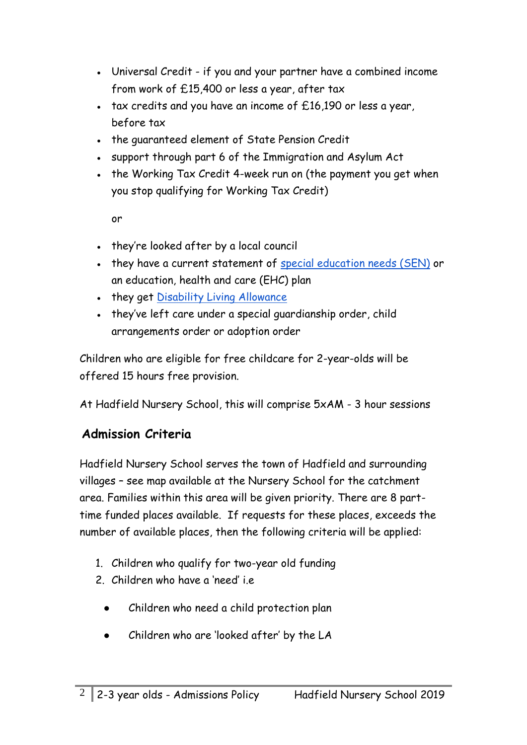- Universal Credit if you and your partner have a combined income from work of £15,400 or less a year, after tax
- $\cdot$  tax credits and you have an income of  $£16,190$  or less a year, before tax
- the quaranteed element of State Pension Credit
- support through part 6 of the Immigration and Asylum Act
- the Working Tax Credit 4-week run on (the payment you get when you stop qualifying for Working Tax Credit)

or

- they're looked after by a local council
- they have a current statement o[f](https://www.gov.uk/children-with-special-educational-needs) [special education needs \(SEN\)](https://www.gov.uk/children-with-special-educational-needs) or an education, health and care (EHC) plan
- [t](https://www.gov.uk/disability-living-allowance-children)hey get [Disability Living Allowance](https://www.gov.uk/disability-living-allowance-children)
- they've left care under a special quardianship order, child arrangements order or adoption order

Children who ar[e](https://www.gov.uk/help-with-childcare-costs/free-childcare-2-year-olds-benefits) [eligible](https://www.gov.uk/help-with-childcare-costs/free-childcare-2-year-olds-benefits) [for free childcare for 2-year-olds](https://www.gov.uk/help-with-childcare-costs/free-childcare-2-year-olds-benefits) will be offered 15 hours free provision.

At Hadfield Nursery School, this will comprise 5xAM - 3 hour sessions

# **Admission Criteria**

Hadfield Nursery School serves the town of Hadfield and surrounding villages – see map available at the Nursery School for the catchment area. Families within this area will be given priority. There are 8 parttime funded places available. If requests for these places, exceeds the number of available places, then the following criteria will be applied:

- 1. Children who qualify for two-year old funding
- 2. Children who have a 'need' i.e
	- Children who need a child protection plan
	- Children who are 'looked after' by the LA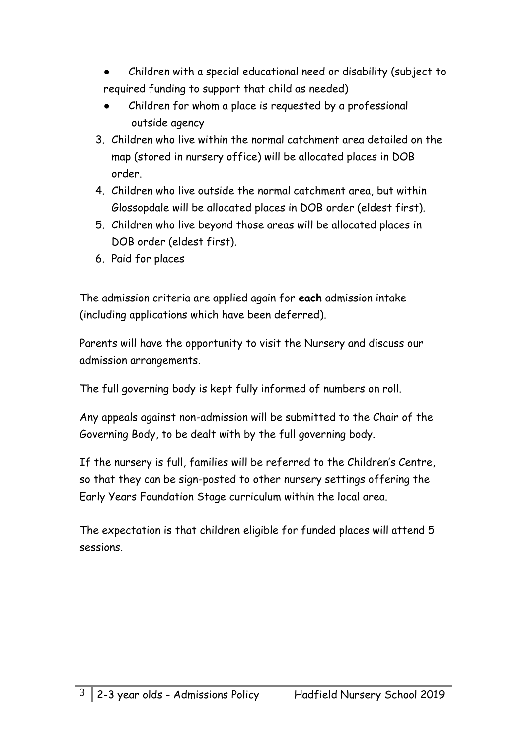- Children with a special educational need or disability (subject to required funding to support that child as needed)
- Children for whom a place is requested by a professional outside agency
- 3. Children who live within the normal catchment area detailed on the map (stored in nursery office) will be allocated places in DOB order.
- 4. Children who live outside the normal catchment area, but within Glossopdale will be allocated places in DOB order (eldest first).
- 5. Children who live beyond those areas will be allocated places in DOB order (eldest first).
- 6. Paid for places

The admission criteria are applied again for **each** admission intake (including applications which have been deferred).

Parents will have the opportunity to visit the Nursery and discuss our admission arrangements.

The full governing body is kept fully informed of numbers on roll.

Any appeals against non-admission will be submitted to the Chair of the Governing Body, to be dealt with by the full governing body.

If the nursery is full, families will be referred to the Children's Centre, so that they can be sign-posted to other nursery settings offering the Early Years Foundation Stage curriculum within the local area.

The expectation is that children eligible for funded places will attend 5 sessions.